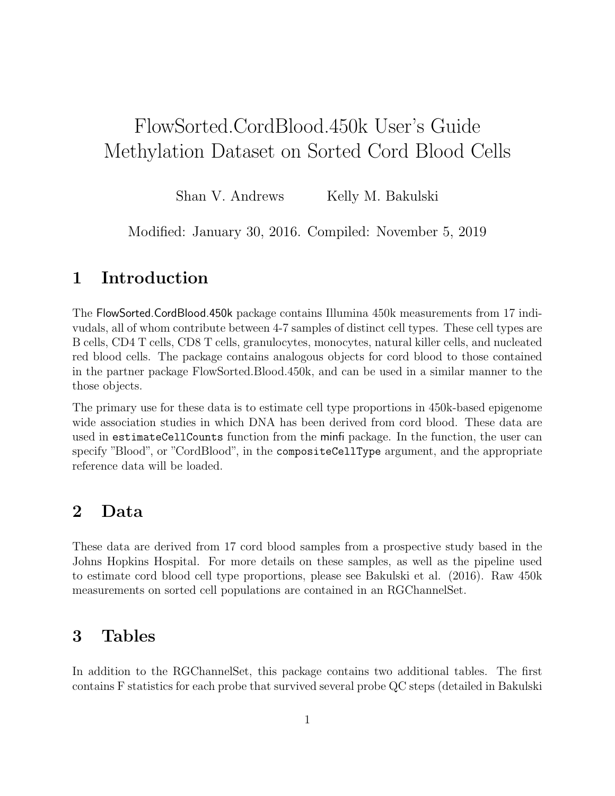# FlowSorted.CordBlood.450k User's Guide Methylation Dataset on Sorted Cord Blood Cells

Shan V. Andrews Kelly M. Bakulski

Modified: January 30, 2016. Compiled: November 5, 2019

## 1 Introduction

The FlowSorted.CordBlood.450k package contains Illumina 450k measurements from 17 indivudals, all of whom contribute between 4-7 samples of distinct cell types. These cell types are B cells, CD4 T cells, CD8 T cells, granulocytes, monocytes, natural killer cells, and nucleated red blood cells. The package contains analogous objects for cord blood to those contained in the partner package FlowSorted.Blood.450k, and can be used in a similar manner to the those objects.

The primary use for these data is to estimate cell type proportions in 450k-based epigenome wide association studies in which DNA has been derived from cord blood. These data are used in estimateCellCounts function from the minfi package. In the function, the user can specify "Blood", or "CordBlood", in the compositeCellType argument, and the appropriate reference data will be loaded.

### 2 Data

These data are derived from 17 cord blood samples from a prospective study based in the Johns Hopkins Hospital. For more details on these samples, as well as the pipeline used to estimate cord blood cell type proportions, please see Bakulski et al. (2016). Raw 450k measurements on sorted cell populations are contained in an RGChannelSet.

#### 3 Tables

In addition to the RGChannelSet, this package contains two additional tables. The first contains F statistics for each probe that survived several probe QC steps (detailed in Bakulski